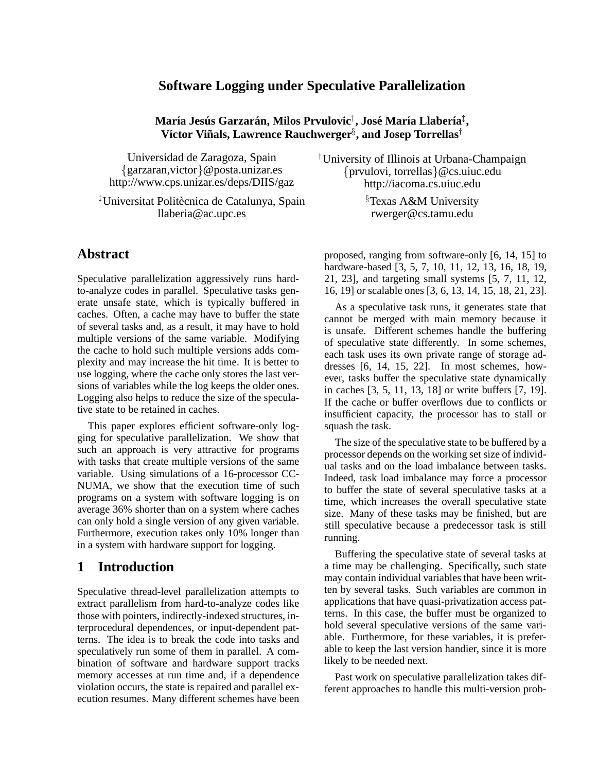#### **Software Logging under Speculative Parallelization**

 $\mathbf{M}$ aría Jesús Garzarán, Milos Prvulovic†, José María Llabería‡,  $V$ íctor Viñals, Lawrence Rauchwerger $^\S$ , and Josep Torrellas $^\dagger$ 

Universidad de Zaragoza, Spain  $\{garzaran,victor\}$ @posta.unizar.es http://www.cps.unizar.es/deps/DIIS/gaz

‡Universitat Politècnica de Catalunya, Spain llaberia@ac.upc.es

## **Abstract**

Speculative parallelization aggressively runs hardto-analyze codes in parallel. Speculative tasks generate unsafe state, which is typically buffered in caches. Often, a cache may have to buffer the state of several tasks and, as a result, it may have to hold multiple versions of the same variable. Modifying the cache to hold such multiple versions adds complexity and may increase the hit time. It is better to use logging, where the cache only stores the last versions of variables while the log keeps the older ones. Logging also helps to reduce the size of the speculative state to be retained in caches.

This paper explores efficient software-only logging for speculative parallelization. We show that such an approach is very attractive for programs with tasks that create multiple versions of the same variable. Using simulations of a 16-processor CC-NUMA, we show that the execution time of such programs on a system with software logging is on average 36% shorter than on a system where caches can only hold a single version of any given variable. Furthermore, execution takes only 10% longer than in a system with hardware support for logging.

### **1 Introduction**

Speculative thread-level parallelization attempts to extract parallelism from hard-to-analyze codes like those with pointers, indirectly-indexed structures, interprocedural dependences, or input-dependent patterns. The idea is to break the code into tasks and speculatively run some of them in parallel. A combination of software and hardware support tracks memory accesses at run time and, if a dependence violation occurs, the state is repaired and parallel execution resumes. Many different schemes have been <sup>†</sup> University of Illinois at Urbana-Champaign  $\{prvulovi, torrellas\} @cs.uuc.edu$ http://iacoma.cs.uiuc.edu

> <sup>§</sup>Texas A&M University rwerger@cs.tamu.edu

proposed, ranging from software-only [6, 14, 15] to hardware-based [3, 5, 7, 10, 11, 12, 13, 16, 18, 19, 21, 23], and targeting small systems [5, 7, 11, 12, 16, 19] or scalable ones [3, 6, 13, 14, 15, 18, 21, 23].

As a speculative task runs, it generates state that cannot be merged with main memory because it is unsafe. Different schemes handle the buffering of speculative state differently. In some schemes, each task uses its own private range of storage addresses [6, 14, 15, 22]. In most schemes, however, tasks buffer the speculative state dynamically in caches [3, 5, 11, 13, 18] or write buffers [7, 19]. If the cache or buffer overflows due to conflicts or insufficient capacity, the processor has to stall or squash the task.

The size of the speculative state to be buffered by a processor depends on the working set size of individual tasks and on the load imbalance between tasks. Indeed, task load imbalance may force a processor to buffer the state of several speculative tasks at a time, which increases the overall speculative state size. Many of these tasks may be finished, but are still speculative because a predecessor task is still running.

Buffering the speculative state of several tasks at a time may be challenging. Specifically, such state may contain individual variables that have been written by several tasks. Such variables are common in applications that have quasi-privatization access patterns. In this case, the buffer must be organized to hold several speculative versions of the same variable. Furthermore, for these variables, it is preferable to keep the last version handier, since it is more likely to be needed next.

Past work on speculative parallelization takes different approaches to handle this multi-version prob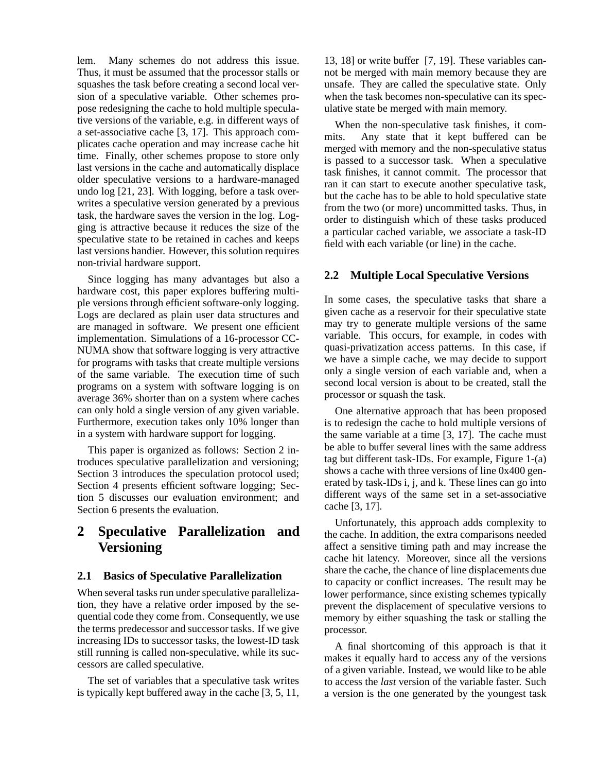lem. Many schemes do not address this issue. Thus, it must be assumed that the processor stalls or squashes the task before creating a second local version of a speculative variable. Other schemes propose redesigning the cache to hold multiple speculative versions of the variable, e.g. in different ways of a set-associative cache [3, 17]. This approach complicates cache operation and may increase cache hit time. Finally, other schemes propose to store only last versions in the cache and automatically displace older speculative versions to a hardware-managed undo log [21, 23]. With logging, before a task overwrites a speculative version generated by a previous task, the hardware saves the version in the log. Logging is attractive because it reduces the size of the speculative state to be retained in caches and keeps last versions handier. However, this solution requires non-trivial hardware support.

Since logging has many advantages but also a hardware cost, this paper explores buffering multiple versions through efficient software-only logging. Logs are declared as plain user data structures and are managed in software. We present one efficient implementation. Simulations of a 16-processor CC-NUMA show that software logging is very attractive for programs with tasks that create multiple versions of the same variable. The execution time of such programs on a system with software logging is on average 36% shorter than on a system where caches can only hold a single version of any given variable. Furthermore, execution takes only 10% longer than in a system with hardware support for logging.

This paper is organized as follows: Section 2 introduces speculative parallelization and versioning; Section 3 introduces the speculation protocol used; Section 4 presents efficient software logging; Section 5 discusses our evaluation environment; and Section 6 presents the evaluation.

# **2 Speculative Parallelization and Versioning**

#### **2.1 Basics of Speculative Parallelization**

When several tasks run under speculative parallelization, they have a relative order imposed by the sequential code they come from. Consequently, we use the terms predecessor and successor tasks. If we give increasing IDs to successor tasks, the lowest-ID task still running is called non-speculative, while its successors are called speculative.

The set of variables that a speculative task writes is typically kept buffered away in the cache [3, 5, 11, 13, 18] or write buffer [7, 19]. These variables cannot be merged with main memory because they are unsafe. They are called the speculative state. Only when the task becomes non-speculative can its speculative state be merged with main memory.

When the non-speculative task finishes, it commits. Any state that it kept buffered can be merged with memory and the non-speculative status is passed to a successor task. When a speculative task finishes, it cannot commit. The processor that ran it can start to execute another speculative task, but the cache has to be able to hold speculative state from the two (or more) uncommitted tasks. Thus, in order to distinguish which of these tasks produced a particular cached variable, we associate a task-ID field with each variable (or line) in the cache.

#### **2.2 Multiple Local Speculative Versions**

In some cases, the speculative tasks that share a given cache as a reservoir for their speculative state may try to generate multiple versions of the same variable. This occurs, for example, in codes with quasi-privatization access patterns. In this case, if we have a simple cache, we may decide to support only a single version of each variable and, when a second local version is about to be created, stall the processor or squash the task.

One alternative approach that has been proposed is to redesign the cache to hold multiple versions of the same variable at a time [3, 17]. The cache must be able to buffer several lines with the same address tag but different task-IDs. For example, Figure 1-(a) shows a cache with three versions of line 0x400 generated by task-IDs i, j, and k. These lines can go into different ways of the same set in a set-associative cache [3, 17].

Unfortunately, this approach adds complexity to the cache. In addition, the extra comparisons needed affect a sensitive timing path and may increase the cache hit latency. Moreover, since all the versions share the cache, the chance of line displacements due to capacity or conflict increases. The result may be lower performance, since existing schemes typically prevent the displacement of speculative versions to memory by either squashing the task or stalling the processor.

A final shortcoming of this approach is that it makes it equally hard to access any of the versions of a given variable. Instead, we would like to be able to access the *last* version of the variable faster. Such a version is the one generated by the youngest task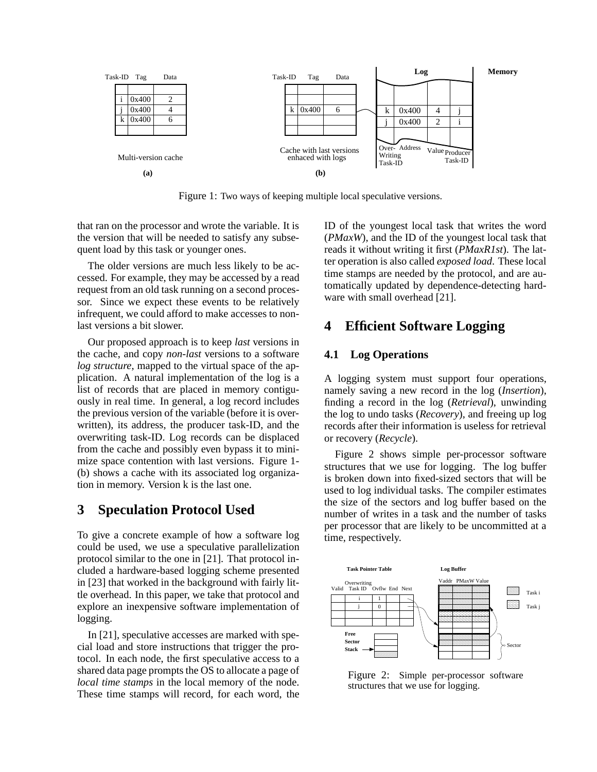

Figure 1: Two ways of keeping multiple local speculative versions.

that ran on the processor and wrote the variable. It is the version that will be needed to satisfy any subsequent load by this task or younger ones.

The older versions are much less likely to be accessed. For example, they may be accessed by a read request from an old task running on a second processor. Since we expect these events to be relatively infrequent, we could afford to make accesses to nonlast versions a bit slower.

Our proposed approach is to keep *last* versions in the cache, and copy *non-last* versions to a software *log structure*, mapped to the virtual space of the application. A natural implementation of the log is a list of records that are placed in memory contiguously in real time. In general, a log record includes the previous version of the variable (before it is overwritten), its address, the producer task-ID, and the overwriting task-ID. Log records can be displaced from the cache and possibly even bypass it to minimize space contention with last versions. Figure 1- (b) shows a cache with its associated log organization in memory. Version k is the last one.

### **3 Speculation Protocol Used**

To give a concrete example of how a software log could be used, we use a speculative parallelization protocol similar to the one in [21]. That protocol included a hardware-based logging scheme presented in [23] that worked in the background with fairly little overhead. In this paper, we take that protocol and explore an inexpensive software implementation of logging.

In [21], speculative accesses are marked with special load and store instructions that trigger the protocol. In each node, the first speculative access to a shared data page prompts the OS to allocate a page of *local time stamps* in the local memory of the node. These time stamps will record, for each word, the ID of the youngest local task that writes the word (*PMaxW*), and the ID of the youngest local task that reads it without writing it first (*PMaxR1st*). The latter operation is also called *exposed load*. These local time stamps are needed by the protocol, and are automatically updated by dependence-detecting hardware with small overhead [21].

## **4 Efficient Software Logging**

#### **4.1 Log Operations**

A logging system must support four operations, namely saving a new record in the log (*Insertion*), finding a record in the log (*Retrieval*), unwinding the log to undo tasks (*Recovery*), and freeing up log records after their information is useless for retrieval or recovery (*Recycle*).

Figure 2 shows simple per-processor software structures that we use for logging. The log buffer is broken down into fixed-sized sectors that will be used to log individual tasks. The compiler estimates the size of the sectors and log buffer based on the number of writes in a task and the number of tasks per processor that are likely to be uncommitted at a time, respectively.



Figure 2: Simple per-processor software structures that we use for logging.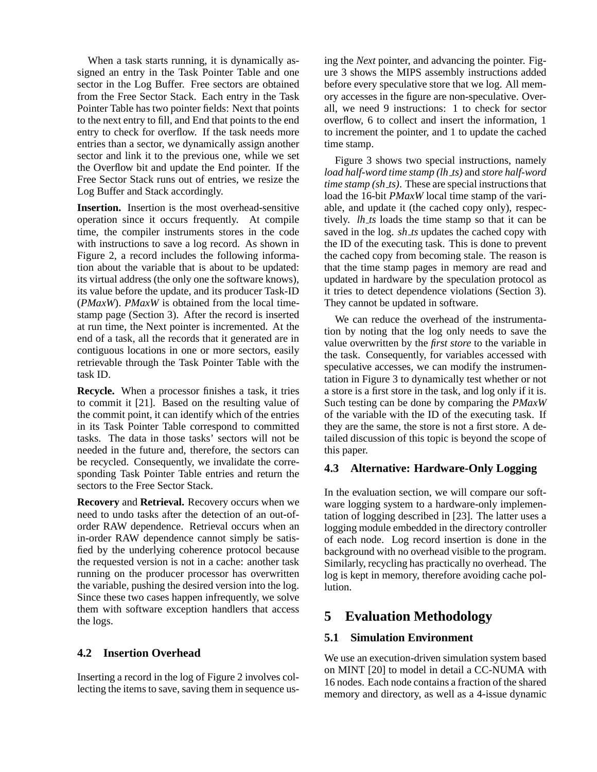When a task starts running, it is dynamically assigned an entry in the Task Pointer Table and one sector in the Log Buffer. Free sectors are obtained from the Free Sector Stack. Each entry in the Task Pointer Table has two pointer fields: Next that points to the next entry to fill, and End that points to the end entry to check for overflow. If the task needs more entries than a sector, we dynamically assign another sector and link it to the previous one, while we set the Overflow bit and update the End pointer. If the Free Sector Stack runs out of entries, we resize the Log Buffer and Stack accordingly.

**Insertion.** Insertion is the most overhead-sensitive operation since it occurs frequently. At compile time, the compiler instruments stores in the code with instructions to save a log record. As shown in Figure 2, a record includes the following information about the variable that is about to be updated: its virtual address (the only one the software knows), its value before the update, and its producer Task-ID (*PMaxW*). *PMaxW* is obtained from the local timestamp page (Section 3). After the record is inserted at run time, the Next pointer is incremented. At the end of a task, all the records that it generated are in contiguous locations in one or more sectors, easily retrievable through the Task Pointer Table with the task ID.

**Recycle.** When a processor finishes a task, it tries to commit it [21]. Based on the resulting value of the commit point, it can identify which of the entries in its Task Pointer Table correspond to committed tasks. The data in those tasks' sectors will not be needed in the future and, therefore, the sectors can be recycled. Consequently, we invalidate the corresponding Task Pointer Table entries and return the sectors to the Free Sector Stack.

**Recovery** and **Retrieval.** Recovery occurs when we need to undo tasks after the detection of an out-oforder RAW dependence. Retrieval occurs when an in-order RAW dependence cannot simply be satisfied by the underlying coherence protocol because the requested version is not in a cache: another task running on the producer processor has overwritten the variable, pushing the desired version into the log. Since these two cases happen infrequently, we solve them with software exception handlers that access the logs.

#### **4.2 Insertion Overhead**

Inserting a record in the log of Figure 2 involves collecting the items to save, saving them in sequence using the *Next* pointer, and advancing the pointer. Figure 3 shows the MIPS assembly instructions added before every speculative store that we log. All memory accesses in the figure are non-speculative. Overall, we need 9 instructions: 1 to check for sector overflow, 6 to collect and insert the information, 1 to increment the pointer, and 1 to update the cached time stamp.

Figure 3 shows two special instructions, namely *load half-word time stamp (lh ts)* and *store half-word time stamp (sh ts)*. These are special instructions that load the 16-bit *PMaxW* local time stamp of the variable, and update it (the cached copy only), respectively. *lh ts* loads the time stamp so that it can be saved in the log. *sh ts* updates the cached copy with the ID of the executing task. This is done to prevent the cached copy from becoming stale. The reason is that the time stamp pages in memory are read and updated in hardware by the speculation protocol as it tries to detect dependence violations (Section 3). They cannot be updated in software.

We can reduce the overhead of the instrumentation by noting that the log only needs to save the value overwritten by the *first store* to the variable in the task. Consequently, for variables accessed with speculative accesses, we can modify the instrumentation in Figure 3 to dynamically test whether or not a store is a first store in the task, and log only if it is. Such testing can be done by comparing the *PMaxW* of the variable with the ID of the executing task. If they are the same, the store is not a first store. A detailed discussion of this topic is beyond the scope of this paper.

#### **4.3 Alternative: Hardware-Only Logging**

In the evaluation section, we will compare our software logging system to a hardware-only implementation of logging described in [23]. The latter uses a logging module embedded in the directory controller of each node. Log record insertion is done in the background with no overhead visible to the program. Similarly, recycling has practically no overhead. The log is kept in memory, therefore avoiding cache pollution.

## **5 Evaluation Methodology**

#### **5.1 Simulation Environment**

We use an execution-driven simulation system based on MINT [20] to model in detail a CC-NUMA with 16 nodes. Each node contains a fraction of the shared memory and directory, as well as a 4-issue dynamic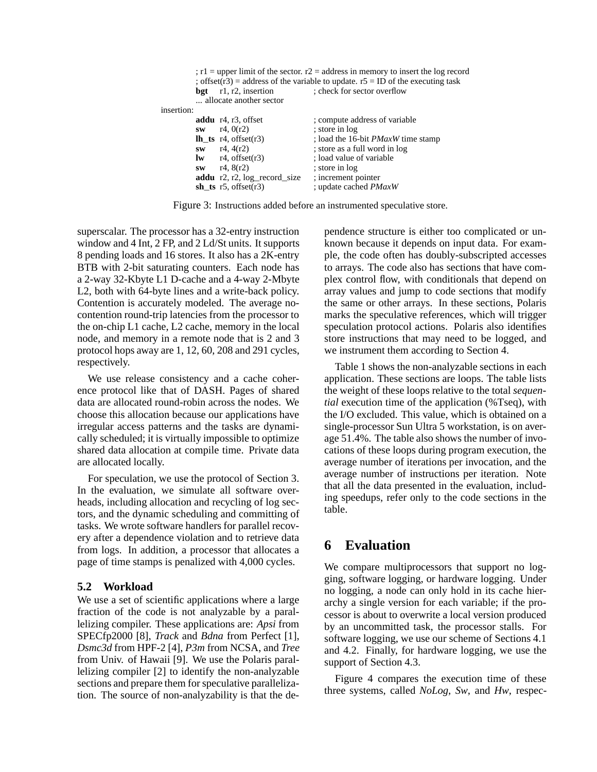|            |           | ; $r1$ = upper limit of the sector. $r2$ = address in memory to insert the log record<br>; offset(r3) = address of the variable to update. $r5 = ID$ of the executing task |                                           |  |  |  |  |  |  |
|------------|-----------|----------------------------------------------------------------------------------------------------------------------------------------------------------------------------|-------------------------------------------|--|--|--|--|--|--|
|            |           | <b>bgt</b> $r1, r2$ , insertion                                                                                                                                            | : check for sector overflow               |  |  |  |  |  |  |
|            |           | allocate another sector                                                                                                                                                    |                                           |  |  |  |  |  |  |
| insertion: |           |                                                                                                                                                                            |                                           |  |  |  |  |  |  |
|            |           | addu $r4$ , r3, offset                                                                                                                                                     | ; compute address of variable             |  |  |  |  |  |  |
|            | <b>SW</b> | r4,0(r2)                                                                                                                                                                   | ; store in log                            |  |  |  |  |  |  |
|            |           | <b>lh</b> ts $r4$ , offset $(r3)$                                                                                                                                          | ; load the 16-bit <i>PMaxW</i> time stamp |  |  |  |  |  |  |
|            |           | sw $r4, 4(r2)$                                                                                                                                                             | ; store as a full word in log             |  |  |  |  |  |  |
|            |           | $\mathbf{I} \mathbf{w}$ r4, offset(r3)                                                                                                                                     | ; load value of variable                  |  |  |  |  |  |  |
|            | <b>SW</b> | r4, 8(r2)                                                                                                                                                                  | ; store in log                            |  |  |  |  |  |  |
|            |           | $addu$ r2, r2, $log\_record\_size$                                                                                                                                         | ; increment pointer                       |  |  |  |  |  |  |
|            |           | sh ts $r5$ , offset $(r3)$                                                                                                                                                 | ; update cached <i>PMaxW</i>              |  |  |  |  |  |  |
|            |           |                                                                                                                                                                            |                                           |  |  |  |  |  |  |

Figure 3: Instructions added before an instrumented speculative store.

superscalar. The processor has a 32-entry instruction window and 4 Int, 2 FP, and 2 Ld/St units. It supports 8 pending loads and 16 stores. It also has a 2K-entry BTB with 2-bit saturating counters. Each node has a 2-way 32-Kbyte L1 D-cache and a 4-way 2-Mbyte L2, both with 64-byte lines and a write-back policy. Contention is accurately modeled. The average nocontention round-trip latencies from the processor to the on-chip L1 cache, L2 cache, memory in the local node, and memory in a remote node that is 2 and 3 protocol hops away are 1, 12, 60, 208 and 291 cycles, respectively.

We use release consistency and a cache coherence protocol like that of DASH. Pages of shared data are allocated round-robin across the nodes. We choose this allocation because our applications have irregular access patterns and the tasks are dynamically scheduled; it is virtually impossible to optimize shared data allocation at compile time. Private data are allocated locally.

For speculation, we use the protocol of Section 3. In the evaluation, we simulate all software overheads, including allocation and recycling of log sectors, and the dynamic scheduling and committing of tasks. We wrote software handlers for parallel recovery after a dependence violation and to retrieve data from logs. In addition, a processor that allocates a page of time stamps is penalized with 4,000 cycles.

#### **5.2 Workload**

We use a set of scientific applications where a large fraction of the code is not analyzable by a parallelizing compiler. These applications are: *Apsi* from SPECfp2000 [8], *Track* and *Bdna* from Perfect [1], *Dsmc3d* from HPF-2 [4], *P3m* from NCSA, and *Tree* from Univ. of Hawaii [9]. We use the Polaris parallelizing compiler [2] to identify the non-analyzable sections and prepare them for speculative parallelization. The source of non-analyzability is that the dependence structure is either too complicated or unknown because it depends on input data. For example, the code often has doubly-subscripted accesses to arrays. The code also has sections that have complex control flow, with conditionals that depend on array values and jump to code sections that modify the same or other arrays. In these sections, Polaris marks the speculative references, which will trigger speculation protocol actions. Polaris also identifies store instructions that may need to be logged, and we instrument them according to Section 4.

Table 1 shows the non-analyzable sections in each application. These sections are loops. The table lists the weight of these loops relative to the total *sequential* execution time of the application (%Tseq), with the I/O excluded. This value, which is obtained on a single-processor Sun Ultra 5 workstation, is on average 51.4%. The table also shows the number of invocations of these loops during program execution, the average number of iterations per invocation, and the average number of instructions per iteration. Note that all the data presented in the evaluation, including speedups, refer only to the code sections in the table.

# **6 Evaluation**

We compare multiprocessors that support no logging, software logging, or hardware logging. Under no logging, a node can only hold in its cache hierarchy a single version for each variable; if the processor is about to overwrite a local version produced by an uncommitted task, the processor stalls. For software logging, we use our scheme of Sections 4.1 and 4.2. Finally, for hardware logging, we use the support of Section 4.3.

Figure 4 compares the execution time of these three systems, called *NoLog*, *Sw*, and *Hw*, respec-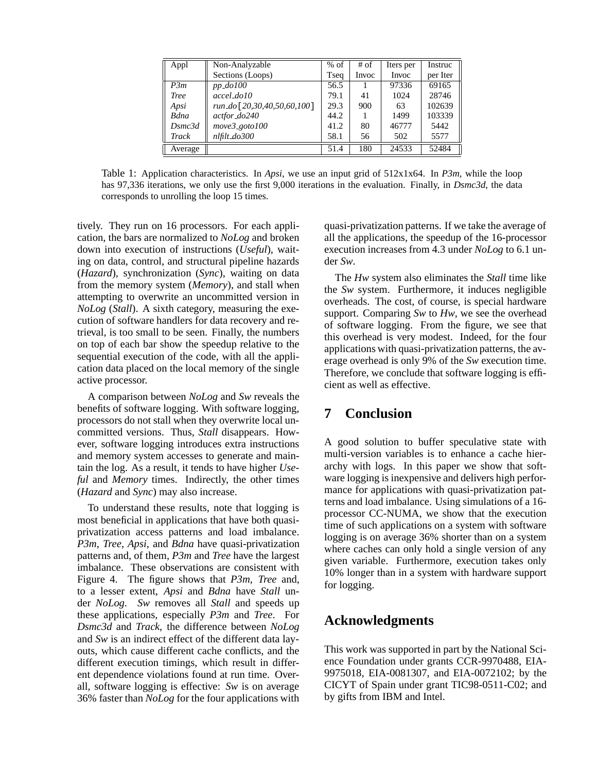| Appl        | Non-Analyzable                | $%$ of | # of  | Iters per | Instruc  |
|-------------|-------------------------------|--------|-------|-----------|----------|
|             | Sections (Loops)              | Tseq   | Invoc | Invoc     | per Iter |
| $P_{.}3m$   | $pp\_do100$                   | 56.5   |       | 97336     | 69165    |
| <b>Tree</b> | $accel\_dol0$                 | 79.1   | 41    | 1024      | 28746    |
| Apsi        | run_do $[20,30,40,50,60,100]$ | 29.3   | 900   | 63        | 102639   |
| Bdna        | actfor_do240                  | 44.2   |       | 1499      | 103339   |
| Dsmc3d      | move3_goto100                 | 41.2   | 80    | 46777     | 5442     |
| Track       | nlfilt_do300                  | 58.1   | 56    | 502       | 5577     |
| Average     |                               | 51.4   | 180   | 24533     | 52484    |

Table 1: Application characteristics. In *Apsi*, we use an input grid of 512x1x64. In *P3m*, while the loop has 97,336 iterations, we only use the first 9,000 iterations in the evaluation. Finally, in *Dsmc3d*, the data corresponds to unrolling the loop 15 times.

tively. They run on 16 processors. For each application, the bars are normalized to *NoLog* and broken down into execution of instructions (*Useful*), waiting on data, control, and structural pipeline hazards (*Hazard*), synchronization (*Sync*), waiting on data from the memory system (*Memory*), and stall when attempting to overwrite an uncommitted version in *NoLog* (*Stall*). A sixth category, measuring the execution of software handlers for data recovery and retrieval, is too small to be seen. Finally, the numbers on top of each bar show the speedup relative to the sequential execution of the code, with all the application data placed on the local memory of the single active processor.

A comparison between *NoLog* and *Sw* reveals the benefits of software logging. With software logging, processors do not stall when they overwrite local uncommitted versions. Thus, *Stall* disappears. However, software logging introduces extra instructions and memory system accesses to generate and maintain the log. As a result, it tends to have higher *Useful* and *Memory* times. Indirectly, the other times (*Hazard* and *Sync*) may also increase.

To understand these results, note that logging is most beneficial in applications that have both quasiprivatization access patterns and load imbalance. *P3m*, *Tree*, *Apsi*, and *Bdna* have quasi-privatization patterns and, of them, *P3m* and *Tree* have the largest imbalance. These observations are consistent with Figure 4. The figure shows that *P3m*, *Tree* and, to a lesser extent, *Apsi* and *Bdna* have *Stall* under *NoLog*. *Sw* removes all *Stall* and speeds up these applications, especially *P3m* and *Tree*. For *Dsmc3d* and *Track*, the difference between *NoLog* and *Sw* is an indirect effect of the different data layouts, which cause different cache conflicts, and the different execution timings, which result in different dependence violations found at run time. Overall, software logging is effective: *Sw* is on average 36% faster than *NoLog* for the four applications with

quasi-privatization patterns. If we take the average of all the applications, the speedup of the 16-processor execution increases from 4.3 under *NoLog* to 6.1 under *Sw*.

The *Hw* system also eliminates the *Stall* time like the *Sw* system. Furthermore, it induces negligible overheads. The cost, of course, is special hardware support. Comparing *Sw* to *Hw*, we see the overhead of software logging. From the figure, we see that this overhead is very modest. Indeed, for the four applications with quasi-privatization patterns, the average overhead is only 9% of the *Sw* execution time. Therefore, we conclude that software logging is efficient as well as effective.

### **7 Conclusion**

A good solution to buffer speculative state with multi-version variables is to enhance a cache hierarchy with logs. In this paper we show that software logging is inexpensive and delivers high performance for applications with quasi-privatization patterns and load imbalance. Using simulations of a 16 processor CC-NUMA, we show that the execution time of such applications on a system with software logging is on average 36% shorter than on a system where caches can only hold a single version of any given variable. Furthermore, execution takes only 10% longer than in a system with hardware support for logging.

# **Acknowledgments**

This work was supported in part by the National Science Foundation under grants CCR-9970488, EIA-9975018, EIA-0081307, and EIA-0072102; by the CICYT of Spain under grant TIC98-0511-C02; and by gifts from IBM and Intel.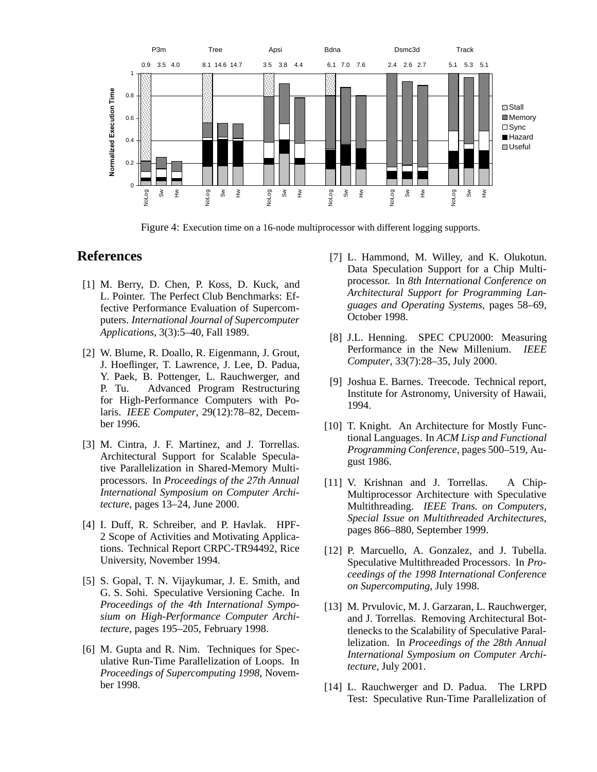

Figure 4: Execution time on a 16-node multiprocessor with different logging supports.

## **References**

- [1] M. Berry, D. Chen, P. Koss, D. Kuck, and L. Pointer. The Perfect Club Benchmarks: Effective Performance Evaluation of Supercomputers. *International Journal of Supercomputer Applications*, 3(3):5–40, Fall 1989.
- [2] W. Blume, R. Doallo, R. Eigenmann, J. Grout, J. Hoeflinger, T. Lawrence, J. Lee, D. Padua, Y. Paek, B. Pottenger, L. Rauchwerger, and P. Tu. Advanced Program Restructuring for High-Performance Computers with Polaris. *IEEE Computer*, 29(12):78–82, December 1996.
- [3] M. Cintra, J. F. Martinez, and J. Torrellas. Architectural Support for Scalable Speculative Parallelization in Shared-Memory Multiprocessors. In *Proceedings of the 27th Annual International Symposium on Computer Architecture*, pages 13–24, June 2000.
- [4] I. Duff, R. Schreiber, and P. Havlak. HPF-2 Scope of Activities and Motivating Applications. Technical Report CRPC-TR94492, Rice University, November 1994.
- [5] S. Gopal, T. N. Vijaykumar, J. E. Smith, and G. S. Sohi. Speculative Versioning Cache. In *Proceedings of the 4th International Symposium on High-Performance Computer Architecture*, pages 195–205, February 1998.
- [6] M. Gupta and R. Nim. Techniques for Speculative Run-Time Parallelization of Loops. In *Proceedings of Supercomputing 1998*, November 1998.
- [7] L. Hammond, M. Willey, and K. Olukotun. Data Speculation Support for a Chip Multiprocessor. In *8th International Conference on Architectural Support for Programming Languages and Operating Systems*, pages 58–69, October 1998.
- [8] J.L. Henning. SPEC CPU2000: Measuring Performance in the New Millenium. *IEEE Computer*, 33(7):28–35, July 2000.
- [9] Joshua E. Barnes. Treecode. Technical report, Institute for Astronomy, University of Hawaii, 1994.
- [10] T. Knight. An Architecture for Mostly Functional Languages. In *ACM Lisp and Functional Programming Conference*, pages 500–519, August 1986.
- [11] V. Krishnan and J. Torrellas. A Chip-Multiprocessor Architecture with Speculative Multithreading. *IEEE Trans. on Computers, Special Issue on Multithreaded Architectures*, pages 866–880, September 1999.
- [12] P. Marcuello, A. Gonzalez, and J. Tubella. Speculative Multithreaded Processors. In *Proceedings of the 1998 International Conference on Supercomputing*, July 1998.
- [13] M. Prvulovic, M. J. Garzaran, L. Rauchwerger, and J. Torrellas. Removing Architectural Bottlenecks to the Scalability of Speculative Parallelization. In *Proceedings of the 28th Annual International Symposium on Computer Architecture*, July 2001.
- [14] L. Rauchwerger and D. Padua. The LRPD Test: Speculative Run-Time Parallelization of